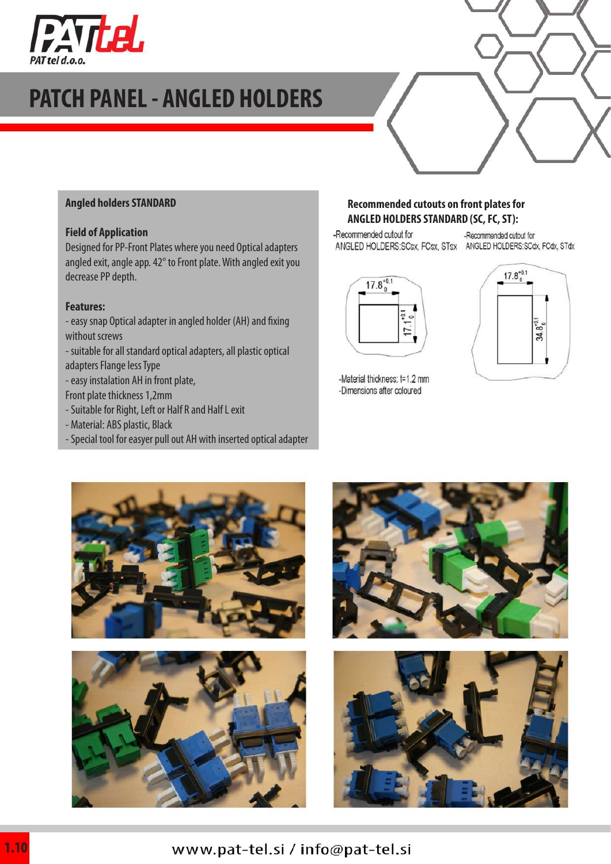

# **PATCH PANEL - ANGLED HOLDERS**

#### **Angled holders STANDARD**

#### **Field of Application**

Designed for PP-Front Plates where you need Optical adapters angled exit, angle app. 42° to Front plate. With angled exit you decrease PP depth.

#### **Features:**

- easy snap Optical adapter in angled holder (AH) and fixing without screws
- suitable for all standard optical adapters, all plastic optical adapters Flange less Type
- easy instalation AH in front plate,
- Front plate thickness 1,2mm
- Suitable for Right, Left or Half R and Half L exit
- Material: ABS plastic, Black
- Special tool for easyer pull out AH with inserted optical adapter

#### **Recommended cutouts on front plates for ANGLED HOLDERS STANDARD (SC, FC, ST):**

-Recommended cutout for

-Recommended cutout for ANGLED HOLDERS:SCsx, FCsx, STsx ANGLED HOLDERS:SCdx, FCdx, STdx





-Material thickness: t=1.2 mm -Dimensions after coloured





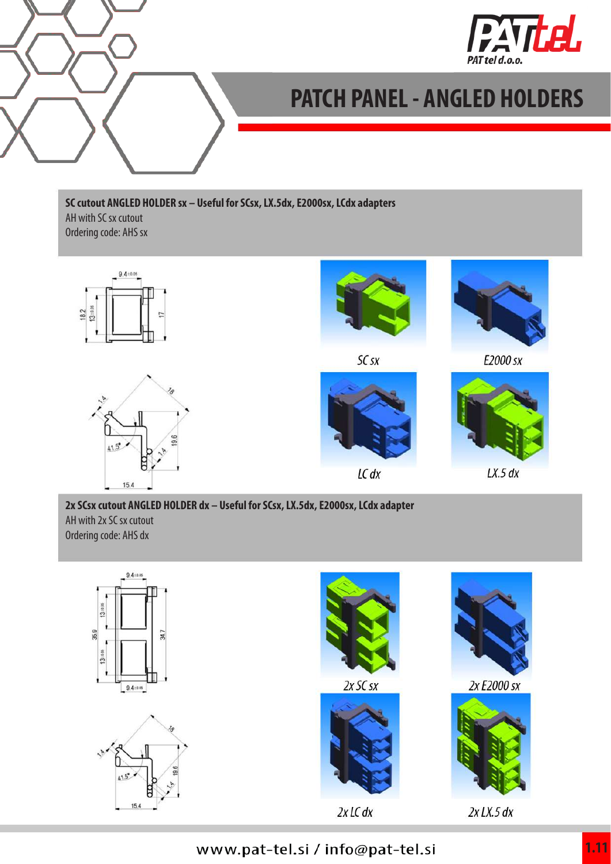



# **PATCH PANEL - ANGLED HOLDERS**

#### **SC cutout ANGLED HOLDER sx – Useful for SCsx, LX.5dx, E2000sx, LCdx adapters** AH with SC sx cutout Ordering code: AHS sx







 $SCsX$ 





E2000 sx



 $LX.5 dx$ 

### **2x SCsx cutout ANGLED HOLDER dx – Useful for SCsx, LX.5dx, E2000sx, LCdx adapter** AH with 2x SC sx cutout Ordering code: AHS dx



## www.pat-tel.si / info@pat-tel.si